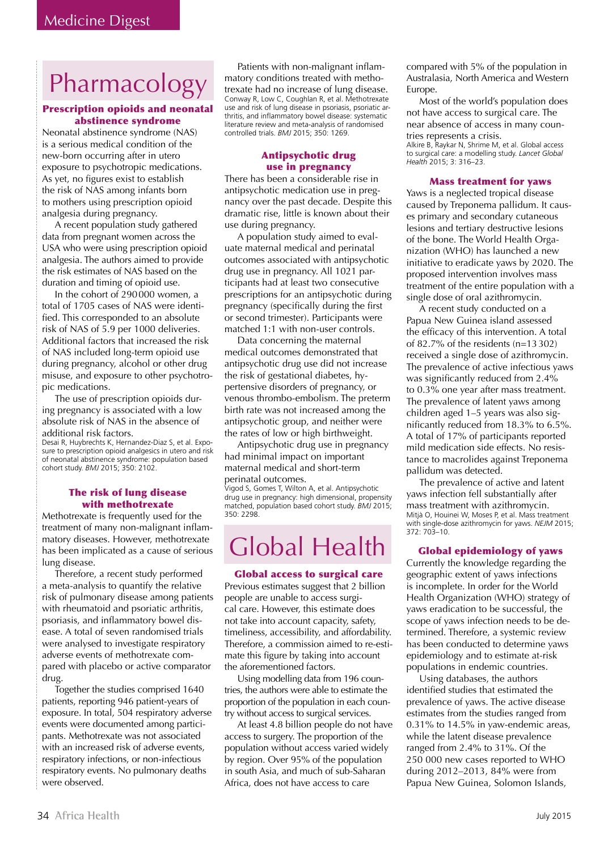# Pharmacology

## Prescription opioids and neonatal abstinence syndrome

Neonatal abstinence syndrome (NAS) is a serious medical condition of the new-born occurring after in utero exposure to psychotropic medications. As yet, no figures exist to establish the risk of NAS among infants born to mothers using prescription opioid analgesia during pregnancy.

A recent population study gathered data from pregnant women across the USA who were using prescription opioid analgesia. The authors aimed to provide the risk estimates of NAS based on the duration and timing of opioid use.

In the cohort of 290 000 women, a total of 1705 cases of NAS were identified. This corresponded to an absolute risk of NAS of 5.9 per 1000 deliveries. Additional factors that increased the risk of NAS included long-term opioid use during pregnancy, alcohol or other drug misuse, and exposure to other psychotropic medications.

The use of prescription opioids during pregnancy is associated with a low absolute risk of NAS in the absence of additional risk factors.

Desai R, Huybrechts K, Hernandez-Diaz S, et al. Exposure to prescription opioid analgesics in utero and risk of neonatal abstinence syndrome: population based cohort study. *BMJ* 2015; 350: 2102.

## The risk of lung disease with methotrexate

Methotrexate is frequently used for the treatment of many non-malignant inflammatory diseases. However, methotrexate has been implicated as a cause of serious lung disease.

Therefore, a recent study performed a meta-analysis to quantify the relative risk of pulmonary disease among patients with rheumatoid and psoriatic arthritis, psoriasis, and inflammatory bowel disease. A total of seven randomised trials were analysed to investigate respiratory adverse events of methotrexate compared with placebo or active comparator drug.

Together the studies comprised 1640 patients, reporting 946 patient-years of exposure. In total, 504 respiratory adverse events were documented among participants. Methotrexate was not associated with an increased risk of adverse events, respiratory infections, or non-infectious respiratory events. No pulmonary deaths were observed.

Patients with non-malignant inflammatory conditions treated with methotrexate had no increase of lung disease. Conway R, Low C, Coughlan R, et al. Methotrexate use and risk of lung disease in psoriasis, psoriatic arthritis, and inflammatory bowel disease: systematic literature review and meta-analysis of randomised controlled trials. *BMJ* 2015; 350: 1269.

#### Antipsychotic drug use in pregnancy

There has been a considerable rise in antipsychotic medication use in pregnancy over the past decade. Despite this dramatic rise, little is known about their use during pregnancy.

A population study aimed to evaluate maternal medical and perinatal outcomes associated with antipsychotic drug use in pregnancy. All 1021 participants had at least two consecutive prescriptions for an antipsychotic during pregnancy (specifically during the first or second trimester). Participants were matched 1:1 with non-user controls.

Data concerning the maternal medical outcomes demonstrated that antipsychotic drug use did not increase the risk of gestational diabetes, hypertensive disorders of pregnancy, or venous thrombo-embolism. The preterm birth rate was not increased among the antipsychotic group, and neither were the rates of low or high birthweight.

Antipsychotic drug use in pregnancy had minimal impact on important maternal medical and short-term perinatal outcomes.

Vigod S, Gomes T, Wilton A, et al. Antipsychotic drug use in pregnancy: high dimensional, propensity matched, population based cohort study. *BMJ* 2015; 350: 2298.

# Global Health

Global access to surgical care Previous estimates suggest that 2 billion people are unable to access surgical care. However, this estimate does not take into account capacity, safety, timeliness, accessibility, and affordability. Therefore, a commission aimed to re-estimate this figure by taking into account the aforementioned factors.

Using modelling data from 196 countries, the authors were able to estimate the proportion of the population in each country without access to surgical services.

At least 4.8 billion people do not have access to surgery. The proportion of the population without access varied widely by region. Over 95% of the population in south Asia, and much of sub-Saharan Africa, does not have access to care

compared with 5% of the population in Australasia, North America and Western Europe.

Most of the world's population does not have access to surgical care. The near absence of access in many countries represents a crisis. Alkire B, Raykar N, Shrime M, et al. Global access

to surgical care: a modelling study. *Lancet Global Health* 2015; 3: 316–23.

#### Mass treatment for yaws

Yaws is a neglected tropical disease caused by Treponema pallidum. It causes primary and secondary cutaneous lesions and tertiary destructive lesions of the bone. The World Health Organization (WHO) has launched a new initiative to eradicate yaws by 2020. The proposed intervention involves mass treatment of the entire population with a single dose of oral azithromycin.

A recent study conducted on a Papua New Guinea island assessed the efficacy of this intervention. A total of 82.7% of the residents (n=13 302) received a single dose of azithromycin. The prevalence of active infectious yaws was significantly reduced from 2.4% to 0.3% one year after mass treatment. The prevalence of latent yaws among children aged 1–5 years was also significantly reduced from 18.3% to 6.5%. A total of 17% of participants reported mild medication side effects. No resistance to macrolides against Treponema pallidum was detected.

The prevalence of active and latent yaws infection fell substantially after mass treatment with azithromycin. Mitjà O, Houinei W, Moses P, et al. Mass treatment with single-dose azithromycin for yaws. *NEJM* 2015; 372: 703–10.

## Global epidemiology of yaws

Currently the knowledge regarding the geographic extent of yaws infections is incomplete. In order for the World Health Organization (WHO) strategy of yaws eradication to be successful, the scope of yaws infection needs to be determined. Therefore, a systemic review has been conducted to determine yaws epidemiology and to estimate at-risk populations in endemic countries.

Using databases, the authors identified studies that estimated the prevalence of yaws. The active disease estimates from the studies ranged from 0.31% to 14.5% in yaw-endemic areas, while the latent disease prevalence ranged from 2.4% to 31%. Of the 250 000 new cases reported to WHO during 2012–2013, 84% were from Papua New Guinea, Solomon Islands,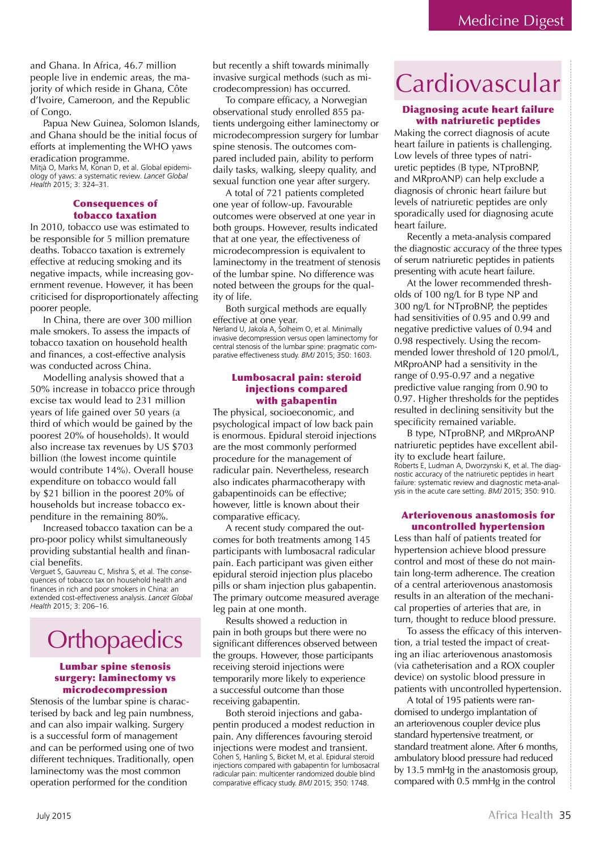and Ghana. In Africa, 46.7 million people live in endemic areas, the majority of which reside in Ghana, Côte d'Ivoire, Cameroon, and the Republic of Congo.

Papua New Guinea, Solomon Islands, and Ghana should be the initial focus of efforts at implementing the WHO yaws eradication programme.

Mitjà O, Marks M, Konan D, et al. Global epidemiology of yaws: a systematic review. *Lancet Global Health* 2015; 3: 324–31.

### Consequences of tobacco taxation

In 2010, tobacco use was estimated to be responsible for 5 million premature deaths. Tobacco taxation is extremely effective at reducing smoking and its negative impacts, while increasing government revenue. However, it has been criticised for disproportionately affecting poorer people.

In China, there are over 300 million male smokers. To assess the impacts of tobacco taxation on household health and finances, a cost-effective analysis was conducted across China.

Modelling analysis showed that a 50% increase in tobacco price through excise tax would lead to 231 million years of life gained over 50 years (a third of which would be gained by the poorest 20% of households). It would also increase tax revenues by US \$703 billion (the lowest income quintile would contribute 14%). Overall house expenditure on tobacco would fall by \$21 billion in the poorest 20% of households but increase tobacco expenditure in the remaining 80%.

Increased tobacco taxation can be a pro-poor policy whilst simultaneously providing substantial health and financial benefits.

Verguet S, Gauvreau C, Mishra S, et al. The consequences of tobacco tax on household health and finances in rich and poor smokers in China: an extended cost-effectiveness analysis. *Lancet Global Health* 2015; 3: 206–16.

## **Orthopaedics**

#### Lumbar spine stenosis surgery: laminectomy vs microdecompression

Stenosis of the lumbar spine is characterised by back and leg pain numbness, and can also impair walking. Surgery is a successful form of management and can be performed using one of two different techniques. Traditionally, open laminectomy was the most common operation performed for the condition

but recently a shift towards minimally invasive surgical methods (such as microdecompression) has occurred.

To compare efficacy, a Norwegian observational study enrolled 855 patients undergoing either laminectomy or microdecompression surgery for lumbar spine stenosis. The outcomes compared included pain, ability to perform daily tasks, walking, sleepy quality, and sexual function one year after surgery.

A total of 721 patients completed one year of follow-up. Favourable outcomes were observed at one year in both groups. However, results indicated that at one year, the effectiveness of microdecompression is equivalent to laminectomy in the treatment of stenosis of the lumbar spine. No difference was noted between the groups for the quality of life.

Both surgical methods are equally effective at one year. Nerland U, Jakola A, Solheim O, et al. Minimally invasive decompression versus open laminectomy for central stenosis of the lumbar spine: pragmatic comparative effectiveness study. *BMJ* 2015; 350: 1603.

#### Lumbosacral pain: steroid injections compared with gabapentin

The physical, socioeconomic, and psychological impact of low back pain is enormous. Epidural steroid injections are the most commonly performed procedure for the management of radicular pain. Nevertheless, research also indicates pharmacotherapy with gabapentinoids can be effective; however, little is known about their comparative efficacy.

A recent study compared the outcomes for both treatments among 145 participants with lumbosacral radicular pain. Each participant was given either epidural steroid injection plus placebo pills or sham injection plus gabapentin. The primary outcome measured average leg pain at one month.

Results showed a reduction in pain in both groups but there were no significant differences observed between the groups. However, those participants receiving steroid injections were temporarily more likely to experience a successful outcome than those receiving gabapentin.

Both steroid injections and gabapentin produced a modest reduction in pain. Any differences favouring steroid injections were modest and transient. Cohen S, Hanling S, Bicket M, et al. Epidural steroid injections compared with gabapentin for lumbosacral radicular pain: multicenter randomized double blind comparative efficacy study. *BMJ* 2015; 350: 1748.

# **Cardiovascular**

### Diagnosing acute heart failure with natriuretic peptides

Making the correct diagnosis of acute heart failure in patients is challenging. Low levels of three types of natriuretic peptides (B type, NTproBNP, and MRproANP) can help exclude a diagnosis of chronic heart failure but levels of natriuretic peptides are only sporadically used for diagnosing acute heart failure.

Recently a meta-analysis compared the diagnostic accuracy of the three types of serum natriuretic peptides in patients presenting with acute heart failure.

At the lower recommended thresholds of 100 ng/L for B type NP and 300 ng/L for NTproBNP, the peptides had sensitivities of 0.95 and 0.99 and negative predictive values of 0.94 and 0.98 respectively. Using the recommended lower threshold of 120 pmol/L, MRproANP had a sensitivity in the range of 0.95-0.97 and a negative predictive value ranging from 0.90 to 0.97. Higher thresholds for the peptides resulted in declining sensitivity but the specificity remained variable.

B type, NTproBNP, and MRproANP natriuretic peptides have excellent ability to exclude heart failure. Roberts E, Ludman A, Dworzynski K, et al. The diagnostic accuracy of the natriuretic peptides in heart failure: systematic review and diagnostic meta-analysis in the acute care setting. *BMJ* 2015; 350: 910.

#### Arteriovenous anastomosis for uncontrolled hypertension

Less than half of patients treated for hypertension achieve blood pressure control and most of these do not maintain long-term adherence. The creation of a central arteriovenous anastomosis results in an alteration of the mechanical properties of arteries that are, in turn, thought to reduce blood pressure.

To assess the efficacy of this intervention, a trial tested the impact of creating an iliac arteriovenous anastomosis (via catheterisation and a ROX coupler device) on systolic blood pressure in patients with uncontrolled hypertension.

A total of 195 patients were randomised to undergo implantation of an arteriovenous coupler device plus standard hypertensive treatment, or standard treatment alone. After 6 months, ambulatory blood pressure had reduced by 13.5 mmHg in the anastomosis group, compared with 0.5 mmHg in the control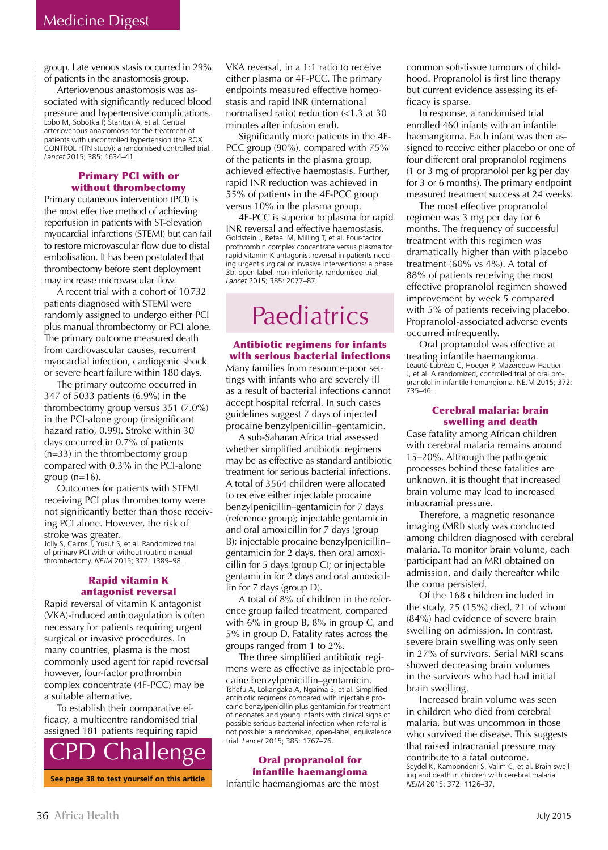group. Late venous stasis occurred in 29% of patients in the anastomosis group.

Arteriovenous anastomosis was associated with significantly reduced blood pressure and hypertensive complications. Lobo M, Sobotka P, Stanton A, et al. Central arteriovenous anastomosis for the treatment of patients with uncontrolled hypertension (the ROX CONTROL HTN study): a randomised controlled trial. *Lancet* 2015; 385: 1634–41.

## Primary PCI with or without thrombectomy

Primary cutaneous intervention (PCI) is the most effective method of achieving reperfusion in patients with ST-elevation myocardial infarctions (STEMI) but can fail to restore microvascular flow due to distal embolisation. It has been postulated that thrombectomy before stent deployment may increase microvascular flow.

A recent trial with a cohort of 10 732 patients diagnosed with STEMI were randomly assigned to undergo either PCI plus manual thrombectomy or PCI alone. The primary outcome measured death from cardiovascular causes, recurrent myocardial infection, cardiogenic shock or severe heart failure within 180 days.

The primary outcome occurred in 347 of 5033 patients (6.9%) in the thrombectomy group versus 351 (7.0%) in the PCI-alone group (insignificant hazard ratio, 0.99). Stroke within 30 days occurred in 0.7% of patients (n=33) in the thrombectomy group compared with 0.3% in the PCI-alone group  $(n=16)$ .

Outcomes for patients with STEMI receiving PCI plus thrombectomy were not significantly better than those receiving PCI alone. However, the risk of stroke was greater.

Jolly S, Cairns J, Yusuf S, et al. Randomized trial of primary PCI with or without routine manual thrombectomy. *NEJM* 2015; 372: 1389–98.

## Rapid vitamin K antagonist reversal

Rapid reversal of vitamin K antagonist (VKA)-induced anticoagulation is often necessary for patients requiring urgent surgical or invasive procedures. In many countries, plasma is the most commonly used agent for rapid reversal however, four-factor prothrombin complex concentrate (4F-PCC) may be a suitable alternative.

To establish their comparative efficacy, a multicentre randomised trial assigned 181 patients requiring rapid



VKA reversal, in a 1:1 ratio to receive either plasma or 4F-PCC. The primary endpoints measured effective homeostasis and rapid INR (international normalised ratio) reduction (<1.3 at 30 minutes after infusion end).

Significantly more patients in the 4F-PCC group (90%), compared with 75% of the patients in the plasma group, achieved effective haemostasis. Further, rapid INR reduction was achieved in 55% of patients in the 4F-PCC group versus 10% in the plasma group.

4F-PCC is superior to plasma for rapid INR reversal and effective haemostasis. Goldstein J, Refaai M, Milling T, et al. Four-factor prothrombin complex concentrate versus plasma for rapid vitamin K antagonist reversal in patients needing urgent surgical or invasive interventions: a phase 3b, open-label, non-inferiority, randomised trial. *Lancet* 2015; 385: 2077–87.

## **Paediatrics**

Antibiotic regimens for infants with serious bacterial infections

Many families from resource-poor settings with infants who are severely ill as a result of bacterial infections cannot accept hospital referral. In such cases guidelines suggest 7 days of injected procaine benzylpenicillin–gentamicin.

A sub-Saharan Africa trial assessed whether simplified antibiotic regimens may be as effective as standard antibiotic treatment for serious bacterial infections. A total of 3564 children were allocated to receive either injectable procaine benzylpenicillin–gentamicin for 7 days (reference group); injectable gentamicin and oral amoxicillin for 7 days (group B); injectable procaine benzylpenicillin– gentamicin for 2 days, then oral amoxicillin for 5 days (group C); or injectable gentamicin for 2 days and oral amoxicillin for 7 days (group D).

A total of 8% of children in the reference group failed treatment, compared with 6% in group B, 8% in group C, and 5% in group D. Fatality rates across the groups ranged from 1 to 2%.

The three simplified antibiotic regimens were as effective as injectable procaine benzylpenicillin–gentamicin. Tshefu A, Lokangaka A, Ngaima S, et al. Simplified antibiotic regimens compared with injectable procaine benzylpenicillin plus gentamicin for treatment of neonates and young infants with clinical signs of possible serious bacterial infection when referral is not possible: a randomised, open-label, equivalence trial. *Lancet* 2015; 385: 1767–76.

Oral propranolol for infantile haemangioma Infantile haemangiomas are the most common soft-tissue tumours of childhood. Propranolol is first line therapy but current evidence assessing its efficacy is sparse.

In response, a randomised trial enrolled 460 infants with an infantile haemangioma. Each infant was then assigned to receive either placebo or one of four different oral propranolol regimens (1 or 3 mg of propranolol per kg per day for 3 or 6 months). The primary endpoint measured treatment success at 24 weeks.

The most effective propranolol regimen was 3 mg per day for 6 months. The frequency of successful treatment with this regimen was dramatically higher than with placebo treatment (60% vs 4%). A total of 88% of patients receiving the most effective propranolol regimen showed improvement by week 5 compared with 5% of patients receiving placebo. Propranolol-associated adverse events occurred infrequently.

Oral propranolol was effective at treating infantile haemangioma. Léauté-Labrèze C, Hoeger P, Mazereeuw-Hautier J, et al. A randomized, controlled trial of oral propranolol in infantile hemangioma. NEJM 2015; 372: .<br>735–46.

#### Cerebral malaria: brain swelling and death

Case fatality among African children with cerebral malaria remains around 15–20%. Although the pathogenic processes behind these fatalities are unknown, it is thought that increased brain volume may lead to increased intracranial pressure.

Therefore, a magnetic resonance imaging (MRI) study was conducted among children diagnosed with cerebral malaria. To monitor brain volume, each participant had an MRI obtained on admission, and daily thereafter while the coma persisted.

Of the 168 children included in the study, 25 (15%) died, 21 of whom (84%) had evidence of severe brain swelling on admission. In contrast, severe brain swelling was only seen in 27% of survivors. Serial MRI scans showed decreasing brain volumes in the survivors who had had initial brain swelling.

Increased brain volume was seen in children who died from cerebral malaria, but was uncommon in those who survived the disease. This suggests that raised intracranial pressure may contribute to a fatal outcome. Seydel K, Kampondeni S, Valim C, et al. Brain swelling and death in children with cerebral malaria. *NEJM* 2015; 372: 1126–37.